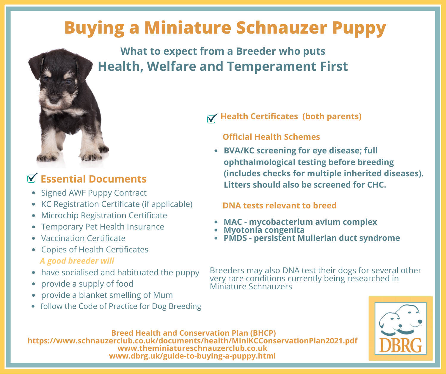# **Buying a Miniature Schnauzer Puppy**

**What to expect from a Breeder who puts Health, Welfare and Temperament First**



## **Essential Documents**

- Signed AWF Puppy Contract
- KC Registration Certificate (if applicable)
- Microchip Registration Certificate
- Temporary Pet Health Insurance
- Vaccination Certificate
- Copies of Health Certificates *A good breeder will*
- have socialised and habituated the puppy
- provide a supply of food
- provide a blanket smelling of Mum
- follow the Code of Practice for Dog Breeding

### **Health Certificates (both parents)**

### **Official Health Schemes**

**BVA/KC screening for eye disease; full ophthalmological testing before breeding (includes checks for multiple inherited diseases). Litters should also be screened for CHC.**

#### **DNA tests relevant to breed**

- **MAC - mycobacterium avium complex**
- **Myotonia congenita**
- **PMDS - persistent Mullerian duct syndrome**

Breeders may also DNA test their dogs for several other very rare conditions currently being researched in Miniature Schnauzers



#### **Breed Health and Conservation Plan (BHCP)**

l

 **https://www.schnauzerclub.co.uk/documents/health/MiniKCConservationPlan2021.pdf www.theminiatureschnauzerclub.co.uk www.dbrg.uk/guide-to-buying-a-puppy.html**